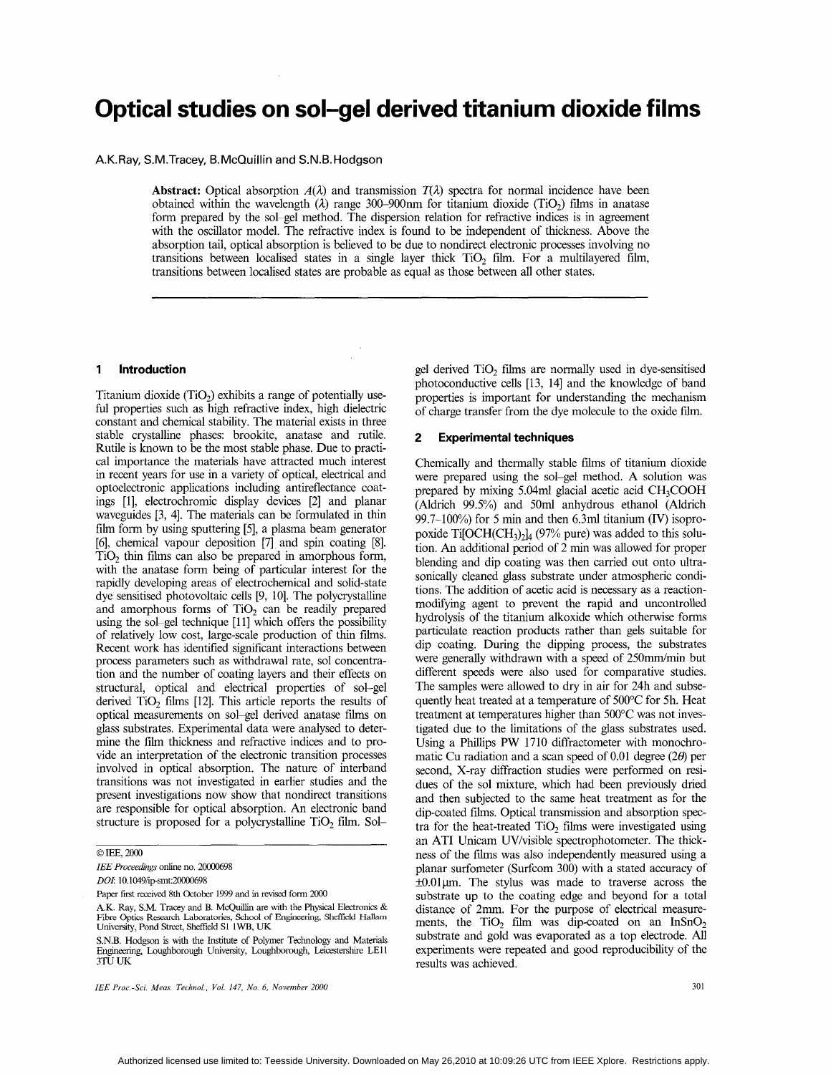# **Optical studies on sol-gel derived titanium dioxide films**

# A.K. Ray, S.M. Tracey, B. McQuillin and S.N.B. Hodgson

**Abstract:** Optical absorption  $A(\lambda)$  and transmission  $T(\lambda)$  spectra for normal incidence have been obtained within the wavelength  $(\lambda)$  range 300–900nm for titanium dioxide (TiO<sub>2</sub>) films in anatase form prepared by the sol-gel method. The dispersion relation for refractive indices is in agreement with the oscillator model. The refractive index is found to be independent of thickness. Above the absorption tail, optical absorption is believed to be due to nondirect electronic processes involving no transitions between localised states in a single layer thick  $TiO<sub>2</sub>$  film. For a multilayered film, transitions between localised states are probable as equal as those between all other states.

# **1 Introduction**

Titanium dioxide  $(TiO<sub>2</sub>)$  exhibits a range of potentially useful properties such as high refractive index, high dielectric constant and chemical stability. The material exists in three stable crystalline phases: brookite, anatase and rutile. Rutile is known to be the most stable phase. Due to practical importance the materials have attracted much interest in recent years for use in a variety of optical, electrical and optoelectronic applications including antireflectance coatings [l], electrochromic display devices [2] and planar waveguides [3, 41. The materials can be formulated in thin film form by using sputtering [5], a plasma beam generator [6], chemical vapour deposition [7] and spin coating [SI.  $TiO<sub>2</sub>$  thin films can also be prepared in amorphous form, with the anatase form being of particular interest for the rapidly developing areas of electrochemical and solid-state dye sensitised photovoltaic cells [9, lo]. The polycrystalline and amorphous forms of  $TiO<sub>2</sub>$  can be readily prepared using the sol-gel technique [11] which offers the possibility of relatively low cost, large-scale production of thin films. Recent work has identified significant interactions between process parameters such as withdrawal rate, sol concentration and the number of coating layers and their effects on structural, optical and electrical properties of sol-gel derived TiO, films [12]. This article reports the results of optical measurements on sol-gel derived anatase films on glass substrates. Experimental data were analysed to determine the film thickness and refractive indices and to provide an interpretation of the electronic transition processes involved in optical absorption. The nature of interband transitions was not investigated in earlier studies and the present investigations now show that nondirect transitions are responsible for optical absorption. An electronic band structure is proposed for a polycrystalline  $TiO<sub>2</sub>$  film. Sol-

## *0* IEE, 2000

IEE Proceedings online no. 20000698

*DOL* lO.l049/ipsmt:2ooOo698

A.K. Ray, S.M. Tracey and B. McQuillin are with the Physical Electronics & Fibre Optics Research Laboratories, School of Engineering, Sheffield Hallam University, Pond Street, Sheffield S1 1WB, UK

*IEE Proc.-Sci. Meus. Technol.. Vol. 147, No. 6, November 2000* 30 <sup>1</sup>

gel derived TiO<sub>2</sub> films are normally used in dye-sensitised photoconductive cells [13, 141 and the knowledge of band properties is important for understanding the mechanism of charge transfer from the dye molecule to the oxide film.

#### **2 Experimental techniques**

Chemically and thermally stable films of titanium dioxide were prepared using the sol-gel method. A solution was prepared by mixing 5.04ml glacial acetic acid CH,COOH (Aldrich 99.5%) and 50ml anhydrous ethanol (Aldrich 99.7-100%) for 5 min and then 6.3ml titanium (IV) isopropoxide Ti $[OCH(CH<sub>3</sub>)<sub>2</sub>]$  (97% pure) was added to this solution. An additional period of 2 min was allowed for proper blending and dip coating was then carried out onto ultrasonically cleaned glass substrate under atmospheric conditions. The addition of acetic acid is necessary as a reactionmodifying agent to prevent the rapid and uncontrolled hydrolysis of the titanium alkoxide which otherwise forms particulate reaction products rather than gels suitable for dip coating. During the dipping process, the substrates were generally withdrawn with a speed of 250mm/min but different speeds were also used for comparative studies. The samples were allowed to dry in air for 24h and subsequently heat treated at a temperature of 500°C for 5h. Heat treatment at temperatures higher than 500°C was not investigated due to the limitations of the glass substrates used. Using a Phillips **PW** 1710 diffractometer with monochromatic Cu radiation and a scan speed of 0.01 degree *(26)* per second, X-ray diffraction studies were performed on residues of the sol mixture, which had been previously dried and then subjected to the same heat treatment as for the dip-coated films. Optical transmission and absorption spectra for the heat-treated  $TiO<sub>2</sub>$  films were investigated using an ATI Unicam UV/visible spectrophotometer. The thickness of the films was also independently measured using a planar surfometer (Surfcom 300) with a stated accuracy of  $\pm 0.01 \mu$ m. The stylus was made to traverse across the substrate up to the coating edge and beyond for a total distance of 2mm. For the purpose of electrical measure-<br>ments, the TiO<sub>2</sub> film was dip-coated on an InSnO<sub>2</sub> substrate and gold was evaporated as a top electrode. All experiments were repeated and good reproducibility of the results was achieved.

Paper first received 8th October 1999 and in revised form 2000

S.N.B. Hodgson is with the Institute of Polymer Technology and Materials Engineering, Loughborough University, Loughborough, Leicestershire LE11 **3Tu** UK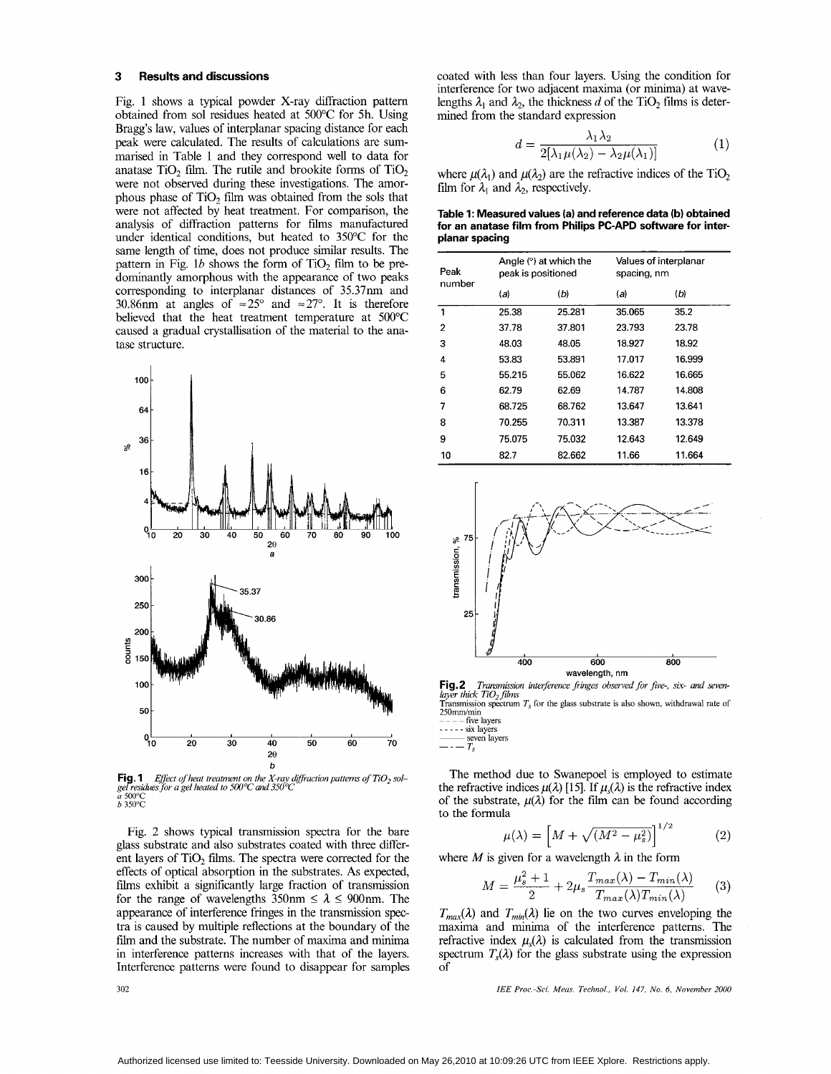### **3 Results and discussions**

Fig. 1 shows a typical powder X-ray diffraction pattern obtained from sol residues heated at 500°C for 5h. Using Bragg's law, values of interplanar spacing distance for each peak were calculated. The results of calculations are summarised in Table 1 and they correspond well to data for anatase  $TiO<sub>2</sub>$  film. The rutile and brookite forms of  $TiO<sub>2</sub>$ were not observed during these investigations. The amorphous phase of Ti02 film was obtained from the sols that were not affected by heat treatment. For comparison, the analysis of diffraction patterns for films manufactured under identical conditions, but heated to 350°C for the same length of time, does not produce similar results. The pattern in Fig.  $1b$  shows the form of TiO<sub>2</sub> film to be predominantly amorphous with the appearance of two peaks corresponding to interplanar distances of 35.37nm and 30.86nm at angles of  $\approx 25^{\circ}$  and  $\approx 27^{\circ}$ . It is therefore believed that the heat treatment temperature at 500°C caused a gradual crystallisation of the material to the ana tase structure.



**Fig. 1** Effect of heat treatment on the X-ray d.<br>gel residues for a gel heated to 500°C and 350°C<br>*a 500°C*<br>b 350°C *Effect of heat treatment on the X-ray diffraction patterns of TiO<sub>2</sub> sol-*

Fig. 2 shows typical transmission spectra for the bare glass substrate and also substrates coated with three different layers of  $TiO<sub>2</sub>$  films. The spectra were corrected for the effects of optical absorption in the substrates. **As** expected, films exhibit a significantly large fraction of transmission for the range of wavelengths  $350 \text{nm} \le \lambda \le 900 \text{nm}$ . The appearance of interference fringes in the transmission spectra is caused by multiple reflections at the boundary of the film and the substrate. The number of maxima and minima in interference patterns increases with that of the layers. Interference patterns were found to disappear for samples coated with less than four layers. Using the condition for interference for two adjacent maxima (or minima) at wavelengths  $\lambda_1$  and  $\lambda_2$ , the thickness *d* of the TiO<sub>2</sub> films is determined from the standard expression

$$
d = \frac{\lambda_1 \lambda_2}{2[\lambda_1 \mu(\lambda_2) - \lambda_2 \mu(\lambda_1)]} \tag{1}
$$

where  $\mu(\lambda_1)$  and  $\mu(\lambda_2)$  are the refractive indices of the TiO<sub>2</sub> film for  $\lambda_1$  and  $\lambda_2$ , respectively.

**Table 1: Measured values (a) and reference data (b) obtained for an anatase film from Philips PC-APD software for interplanar spacing** 

| Peak<br>number | Angle $(°)$ at which the<br>peak is positioned |        | Values of interplanar<br>spacing, nm |        |
|----------------|------------------------------------------------|--------|--------------------------------------|--------|
|                | (a)                                            | (b)    | (a)                                  | (b)    |
| 1              | 25.38                                          | 25.281 | 35.065                               | 35.2   |
| 2              | 37.78                                          | 37.801 | 23.793                               | 23.78  |
| 3              | 48.03                                          | 48.05  | 18.927                               | 18.92  |
| 4              | 53.83                                          | 53.891 | 17.017                               | 16.999 |
| 5              | 55.215                                         | 55.062 | 16.622                               | 16.665 |
| 6              | 62.79                                          | 62.69  | 14.787                               | 14.808 |
| 7              | 68.725                                         | 68.762 | 13.647                               | 13.641 |
| 8              | 70.255                                         | 70.311 | 13.387                               | 13.378 |
| 9              | 75.075                                         | 75.032 | 12.643                               | 12.649 |
| 10             | 82.7                                           | 82.662 | 11.66                                | 11.664 |



**Fig. 2** *Transmission interference fringes observed for five-, six- and seven-layer thick TiO<sub>2</sub> films* Transmission spectrum  $T_s$  for the glass substrate is also shown, withdrawal rate of  $250$ mm/min<br> $---$  five lavers

- - - - - six laye

 $\frac{1}{1-\epsilon}$  seven layers  $\frac{1}{1-\epsilon}$ 

The method due to Swanepoel is employed to estimate the refractive indices  $\mu(\lambda)$  [15]. If  $\mu_{s}(\lambda)$  is the refractive index of the substrate,  $\mu(\lambda)$  for the film can be found according to the formula

$$
\mu(\lambda) = \left[ M + \sqrt{(M^2 - \mu_s^2)} \right]^{1/2} \tag{2}
$$

where *M* is given for a wavelength  $\lambda$  in the form

$$
M = \frac{\mu_s^2 + 1}{2} + 2\mu_s \frac{T_{max}(\lambda) - T_{min}(\lambda)}{T_{max}(\lambda)T_{min}(\lambda)} \tag{3}
$$

 $T_{max}(\lambda)$  and  $T_{min}(\lambda)$  lie on the two curves enveloping the maxima and minima of the interference patterns. The refractive index  $\mu_s(\lambda)$  is calculated from the transmission spectrum  $T<sub>s</sub>(\lambda)$  for the glass substrate using the expression of

*IEE Proc.-Sei. Meas. Technol.. Vol. 147, No. 6, November 2000* 

302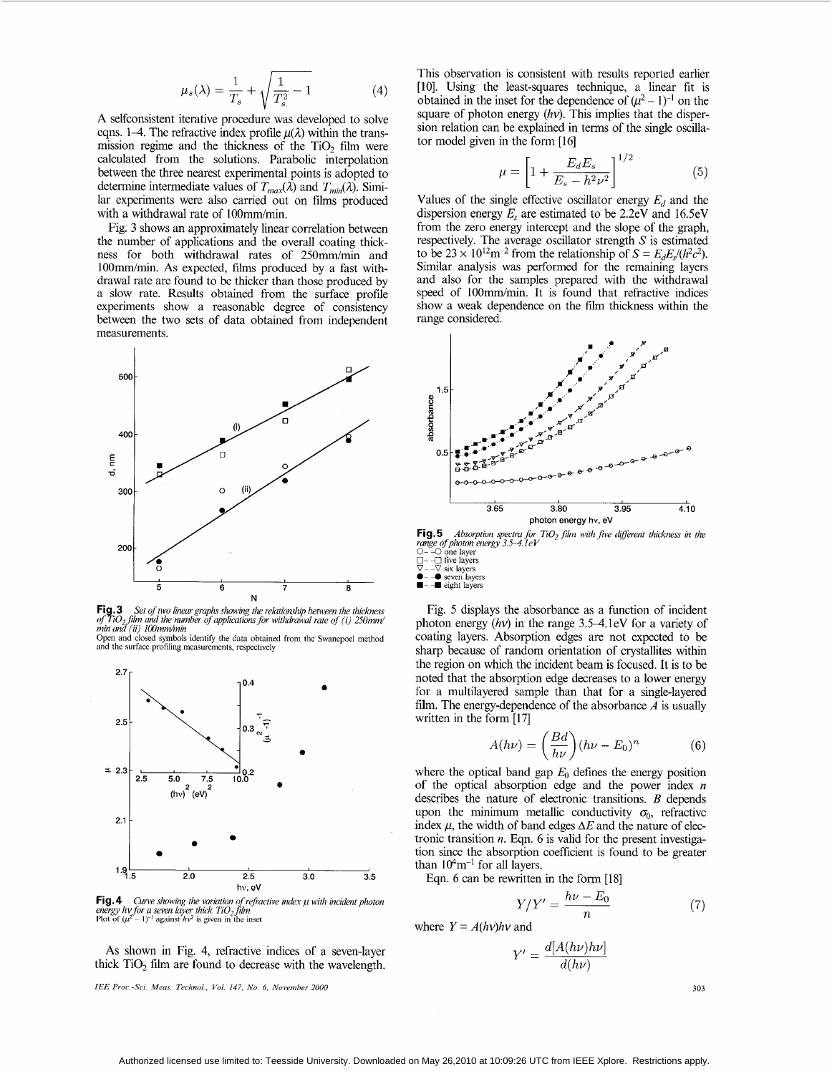$$
\mu_s(\lambda) = \frac{1}{T_s} + \sqrt{\frac{1}{T_s^2} - 1} \tag{4}
$$

A selfconsistent iterative procedure was developed to solve eqns. 1–4. The refractive index profile  $\mu(\lambda)$  within the transmission regime and the thickness of the TiO, film were calculated from the solutions. Parabolic interpolation between the three nearest experimental points is adopted to determine intermediate values of  $T_{max}(\lambda)$  and  $T_{min}(\lambda)$ . Similar experiments were also carried out on films produced with a withdrawal rate of 100mm/min.

Fig. 3 shows an approximately linear correlation between the number of applications and the overall coating thickness for both withdrawal rates of 250mm/min and 100mm/min. As expected, films produced by a fast withdrawal rate are found to be thicker than those produced by a slow rate. Results obtained from the surface profile experiments show a reasonable degree of consistency between the two sets of data obtained from independent measurements.



**Fig.3** Set of two linear graphs showing the relationship between the thickness of  $TiO_2$  film and the number of applications for withdrawal rate of (i) 250mm/<br>min and (ii) 100mm/min

Open and closed symbols identify the data obtained from the Swanepoel method and the surface profiling measurements, respectively



**Fig.4** Curve showing the variation of refractive index  $\mu$  with incident photon energy hy for a seven layer thick TiO<sub>2</sub> film Plot of  $(\mu^2 - 1)^{-1}$  against  $h\nu^2$  is given in the inset **Plot** of  $(\mu^2 - 1)^{-1}$  against  $h\nu^2$  is given in the inset

As shown in Fig. 4, refractive indices of a seven-layer thick TiO<sub>2</sub> film are found to decrease with the wavelength.

*IEE Proc.-Sci. Meus. Technol., Vol. 147, No. 6, November 2000* 

This observation is consistent with results reported earlier [10]. Using the least-squares technique, a linear fit is obtained in the inset for the dependence of  $(\mu^2 - 1)^{-1}$  on the square of photon energy *(hv)*. This implies that the dispersion relation can be explained in terms of the single oscillator model given in the form [16]

$$
\mu = \left[1 + \frac{E_d E_s}{E_s - h^2 \nu^2}\right]^{1/2} \tag{5}
$$

Values of the single effective oscillator energy  $E_d$  and the dispersion energy *E,* are estimated to be 2.2eV and 16.5eV from the zero energy intercept and the slope of the graph, respectively. 'The average oscillator strength *S* is estimated to be  $23 \times 10^{12} \text{m}^{-2}$  from the relationship of  $S = E_d E_c/(h^2 c^2)$ . Similar analysis was performed for the remaining layers and also for the samples prepared with the withdrawal speed of 100mm/min. It is found that refractive indices show a weak dependence on the **film** thickness within the range considered.



**Fig. 5**  *range of photon energy 3.5–4.1eV*<br>○ – –○ one layer<br>□ – –□ five layers<br>▽ – –∇ six layers *Absorplion spectra for TiO, \$lm with \$ve dgerent thickness in the* 

**Fig. 5** *Absorption*<br> *cange of photon energ*<br>  $\Box - \Box$  one layers<br>  $\nabla - \nabla$  six layers<br>  $\blacktriangleright$  -  $\blacktriangleright$  seven layers<br>  $\blacktriangleright$  -  $\blacksquare$  eight layers

Fig. *5* displays the absorbance as a function of incident photon energy  $(hv)$  in the range 3.5–4.1eV for a variety of coating layers. Absorption edges are not expected to be sharp because of random orientation of crystallites within the region on which the incident beam is focused. It is to be noted that the absorption edge decreases to a lower energy for a multilayered sample than that for a single-layered film. The energy-dependence of the absorbance *A* is usually written in the form [17]

$$
A(h\nu) = \left(\frac{Bd}{h\nu}\right)(h\nu - E_0)^n \tag{6}
$$

where the optical band gap  $E_0$  defines the energy position of the optical absorption edge and the power index *n*  describes the nature of electronic transitions. *B* depends upon the minimum metallic conductivity  $\sigma_0$ , refractive index  $\mu$ , the width of band edges  $\Delta E$  and the nature of electronic transition *n*. Eqn. 6 is valid for the present investigation since the absorption coefficient is found to be greater than  $10<sup>4</sup>m<sup>-1</sup>$  for all layers.

Eqn. 6 can be rewritten in the form [18]  
\n
$$
Y/Y' = \frac{h\nu - E_0}{n}
$$
\n(7)

where  $Y = A(hv)hv$  and

$$
Y' = \frac{d[A(h\nu)h\nu]}{d(h\nu)}
$$

303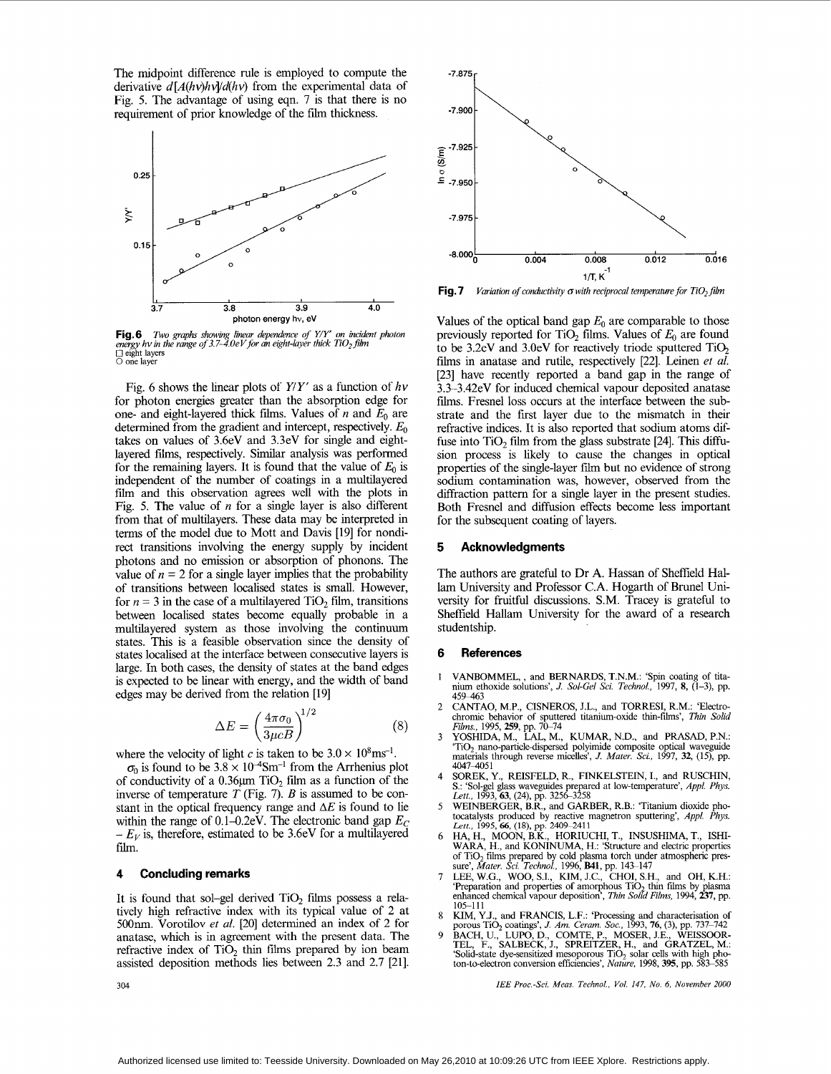The midpoint difference rule is employed to compute the derivative  $d[A(hv)h v/d(hv)]$  from the experimental data of Fig. *5.* The advantage of using eqn. 7 is that there is no requirement of prior knowledge of the film thickness.



**Fig.6** Two graphs showing linear dependence of Y/Y' on incident photon<br>energy hv in the range of 3.7–4.0eV for an eight-layer thick TiO<sub>2</sub> film energy *nv ut n*<br>□ eight layers<br>○ one layer

Fig. 6 shows the linear plots of *YIY'* as a function of *hv*  for photon energies greater than the absorption edge for one- and eight-layered thick films. Values of *n* and  $E_0$  are determined from the gradient and intercept, respectively. *Eo*  takes on values of 3.6eV and 3.3eV for single and eightlayered films, respectively. Similar analysis was performed for the remaining layers. It is found that the value of  $E_0$  is independent of the number of coatings in a multilayered film and this observation agrees well with the plots in Fig. *5.* The value of *n* for a single layer is also different from that of multilayers. These data may be interpreted in terms of the model due to Mott and Davis [19] for nondirect transitions involving the energy supply by incident photons and no emission or absorption of phonons. The value of  $n = 2$  for a single layer implies that the probability of transitions between localised states is small. However, for  $n = 3$  in the case of a multilayered TiO<sub>2</sub> film, transitions between localised states become equally probable in a multilayered system as those involving the continuum states. This is a feasible observation since the density of states localised at the interface between consecutive layers is large. In both cases, the density of states at the band edges is expected to be linear with energy, and the width of band edges may be derived from the relation [19]

$$
\Delta E = \left(\frac{4\pi\sigma_0}{3\mu cB}\right)^{1/2} \tag{8}
$$

where the velocity of light c is taken to be  $3.0 \times 10^8 \text{ms}^{-1}$ .

 $\sigma_0$  is found to be  $3.8 \times 10^{-4}$ Sm<sup>-1</sup> from the Arrhenius plot of conductivity of a  $0.36~\mu m$  TiO<sub>2</sub> film as a function of the inverse of temperature *T* (Fig. 7). *B* is assumed to be constant in the optical frequency range and  $\Delta E$  is found to lie within the range of 0.1–0.2eV. The electronic band gap  $E_C$  $-E_V$  is, therefore, estimated to be 3.6eV for a multilayered film.

### **4 Concluding remarks**

It is found that sol-gel derived  $TiO<sub>2</sub>$  films possess a relatively high refractive index with its typical value of 2 at 500nm. Vorotilov *et al.* [20] determined an index of 2 for anatase, which is in agreement with the present data. The refractive index of  $TiO<sub>2</sub>$  thin films prepared by ion beam assisted deposition methods lies between 2.3 and 2.7 [21].



**Fig. 7** *Variation of conductivity*  $\sigma$  *with reciprocal temperature for TiO<sub>2</sub> film* 

Values of the optical band gap  $E_0$  are comparable to those previously reported for TiO<sub>2</sub> films. Values of  $E_0$  are found to be 3.2eV and 3.0eV for reactively triode sputtered  $TiO<sub>2</sub>$ films in anatase and rutile, respectively [22]. Leinen *et al.*  [23] have recently reported a band gap in the range of 3.3-3.42eV for induced chemical vapour deposited anatase films. Fresnel loss occurs at the interface between the substrate and the first layer due to the mismatch in their refractive indices. It is also reported that sodium atoms diffuse into  $TiO<sub>2</sub>$  film from the glass substrate [24]. This diffusion process is likely to cause the changes in optical properties of the single-layer film but no evidence of strong sodium contamination was, however, observed from the diffraction pattern for a single layer in the present studies. Both Fresnel and diffusion effects become less important for the subsequent coating of layers.

### **5 Acknowledgments**

The authors are grateful to Dr **A.** Hassan of Sheffield Hallam University and Professor **C.A.** Hogarth of Brunel University for fruitful discussions. S.M. Tracey is grateful to Shefield Hallam University for the award of a research studentship.

#### **6 References**

- 1 VANBOMMEL, , and BERNARDS, T.N.M.: 'Spin coating of titanium ethoxide solutions', *J. Sol-Gel Sci. Technol.,* 1997, **8,** (1-3), pp.
- $\mathfrak{D}$ 459–463<br>CANTAO, M.P., CISNEROS, J.L., and TORRESI, R.M.: 'Electro-<br>chromic behavior of sputtered titanium-oxide thin-films', *Thin Solid*<br>*Films*, 1995, **259**, pp. 70–74<br>YOSHIDA, M., LAL, M., KUMAR, N.D., and PRASAD, P.N.:
- 3 'TiO, nano-particledispersed polyimide composite optical waveguide materials through reverse micelles', *J. Mater. Sci.,* 1997, *32,* (15), pp. 4047-4051
- 4 SOREK, **Y.,** REISFELD, R., FINKELSTEIN, I., and RUSCHIN, S.: 'Sol-gel glass waveguides prepared at low-temperature', *Appl. Phys. Lett.*, 1993, 63, (24), pp. 3256-3258<br>WEINBERGER, B.R., and GARBER, R.B.: 'Titanium dioxide pho-
- *5*  tocatalysts produced by reactive magnetron sputtering', *Appl. Phys. Lett.,* 1995, *66,* **(18), pp.** 2409-241 **1**  HA, H., MOON, B.K., HORIUCHI, T., INSUSHIMA, T., ISHI-
- 6 **WARA,** H., and KONINUMA, H.: 'Structure and electric properties of TiO, films prepared by cold plasma torch under atmospheric pres-sure', *Mater. Sei. Technol.,* 1996, **MI,** pp. 14S147
- 7 LEE, W.G., WOO, S.I., KIM, J.C., CHOI, S.H., and OH, K.H.: 'Preparation and properties of amorphous TiO<sub>2</sub> thin films by plasma enhanced chemical vapour deposition', *Thin Solid Films*, 1994, 237, pp. 105-111
- 8 KIM, Y.J., and FRANCIS, L.F.: 'Processing and characterisation of porous TiO, coatings', *J. Am. Ceram.* Soc., 1993,76, (3), pp. 737-742
- 9 BACH, U., LUPO, D., COMTE, P., MOSER, J.E., WEISSOOR-TEL, F., SALBECK, J., SPREITZER, H., and GRATZEL, M.: Solid-state dye-sensitized mesoporous TiO, solar cells with hgh pho-ton-toelectron conversion efficiencies', *Nature,* 1998, **395,** pp. 583-585

*IEE Proc.-Sci. Meas. Technol., Vol. 147, No. 6, November 2000*